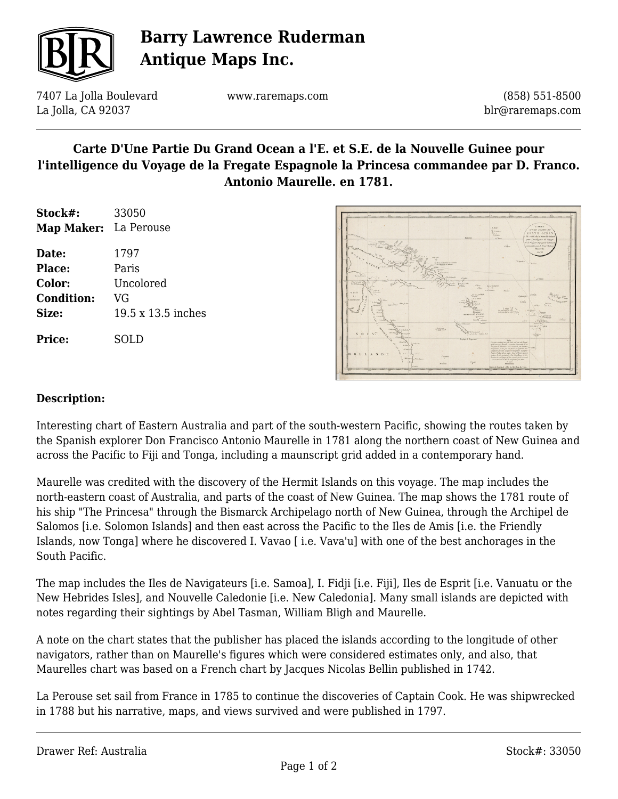

# **Barry Lawrence Ruderman Antique Maps Inc.**

7407 La Jolla Boulevard La Jolla, CA 92037

www.raremaps.com

(858) 551-8500 blr@raremaps.com

## **Carte D'Une Partie Du Grand Ocean a l'E. et S.E. de la Nouvelle Guinee pour l'intelligence du Voyage de la Fregate Espagnole la Princesa commandee par D. Franco. Antonio Maurelle. en 1781.**

| Stock#:               | 33050              |
|-----------------------|--------------------|
| Map Maker: La Perouse |                    |
| Date:                 | 1797               |
| Place:                | Paris              |
| <b>Color:</b>         | Uncolored          |
| <b>Condition:</b>     | VG                 |
| Size:                 | 19.5 x 13.5 inches |
| <b>Price:</b>         | SOLD               |



#### **Description:**

Interesting chart of Eastern Australia and part of the south-western Pacific, showing the routes taken by the Spanish explorer Don Francisco Antonio Maurelle in 1781 along the northern coast of New Guinea and across the Pacific to Fiji and Tonga, including a maunscript grid added in a contemporary hand.

Maurelle was credited with the discovery of the Hermit Islands on this voyage. The map includes the north-eastern coast of Australia, and parts of the coast of New Guinea. The map shows the 1781 route of his ship "The Princesa" through the Bismarck Archipelago north of New Guinea, through the Archipel de Salomos [i.e. Solomon Islands] and then east across the Pacific to the Iles de Amis [i.e. the Friendly Islands, now Tonga] where he discovered I. Vavao [ i.e. Vava'u] with one of the best anchorages in the South Pacific.

The map includes the Iles de Navigateurs [i.e. Samoa], I. Fidji [i.e. Fiji], Iles de Esprit [i.e. Vanuatu or the New Hebrides Isles], and Nouvelle Caledonie [i.e. New Caledonia]. Many small islands are depicted with notes regarding their sightings by Abel Tasman, William Bligh and Maurelle.

A note on the chart states that the publisher has placed the islands according to the longitude of other navigators, rather than on Maurelle's figures which were considered estimates only, and also, that Maurelles chart was based on a French chart by Jacques Nicolas Bellin published in 1742.

La Perouse set sail from France in 1785 to continue the discoveries of Captain Cook. He was shipwrecked in 1788 but his narrative, maps, and views survived and were published in 1797.